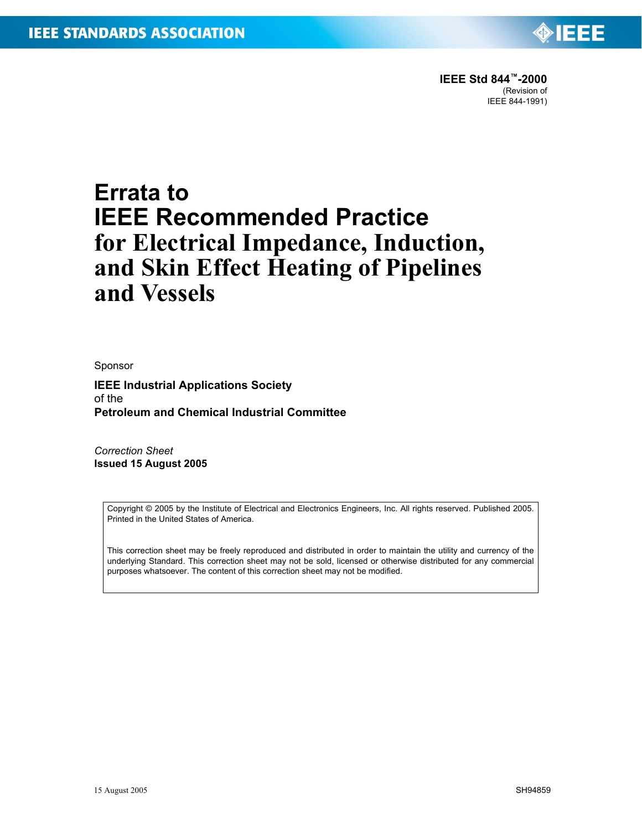

# **Errata to IEEE Recommended Practice for Electrical Impedance, Induction, and Skin Effect Heating of Pipelines and Vessels**

Sponsor

**IEEE Industrial Applications Society** of the **Petroleum and Chemical Industrial Committee**

*Correction Sheet* **Issued 15 August 2005**

> Copyright © 2005 by the Institute of Electrical and Electronics Engineers, Inc. All rights reserved. Published 2005. Printed in the United States of America.

> This correction sheet may be freely reproduced and distributed in order to maintain the utility and currency of the underlying Standard. This correction sheet may not be sold, licensed or otherwise distributed for any commercial purposes whatsoever. The content of this correction sheet may not be modified.